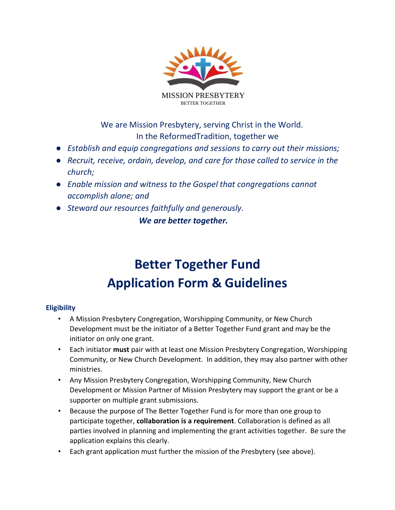

We are Mission Presbytery, serving Christ in the World. In the ReformedTradition, together we

- *Establish and equip congregations and sessions to carry out their missions;*
- *Recruit, receive, ordain, develop, and care for those called to service in the church;*
- *Enable mission and witness to the Gospel that congregations cannot accomplish alone; and*
- *Steward our resources faithfully and generously. We are better together.*

# **Better Together Fund Application Form & Guidelines**

# **Eligibility**

- A Mission Presbytery Congregation, Worshipping Community, or New Church Development must be the initiator of a Better Together Fund grant and may be the initiator on only one grant.
- Each initiator **must** pair with at least one Mission Presbytery Congregation, Worshipping Community, or New Church Development. In addition, they may also partner with other ministries.
- Any Mission Presbytery Congregation, Worshipping Community, New Church Development or Mission Partner of Mission Presbytery may support the grant or be a supporter on multiple grant submissions.
- Because the purpose of The Better Together Fund is for more than one group to participate together, **collaboration is a requirement**. Collaboration is defined as all parties involved in planning and implementing the grant activities together. Be sure the application explains this clearly.
- Each grant application must further the mission of the Presbytery (see above).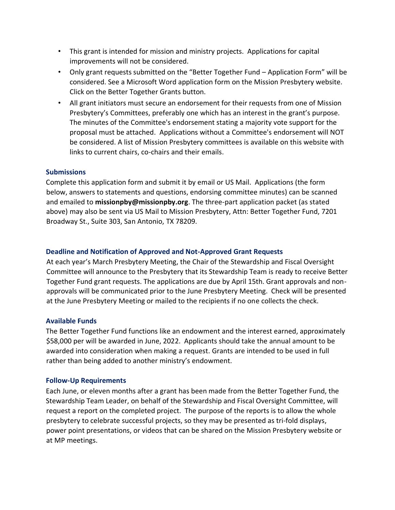- This grant is intended for mission and ministry projects. Applications for capital improvements will not be considered.
- Only grant requests submitted on the "Better Together Fund Application Form" will be considered. See a Microsoft Word application form on the Mission Presbytery website. Click on the Better Together Grants button.
- All grant initiators must secure an endorsement for their requests from one of Mission Presbytery's Committees, preferably one which has an interest in the grant's purpose. The minutes of the Committee's endorsement stating a majority vote support for the proposal must be attached. Applications without a Committee's endorsement will NOT be considered. A list of Mission Presbytery committees is available on this website with links to current chairs, co-chairs and their emails.

# **Submissions**

Complete this application form and submit it by email or US Mail. Applications (the form below, answers to statements and questions, endorsing committee minutes) can be scanned and emailed to **missionpby@missionpby.org**. The three-part application packet (as stated above) may also be sent via US Mail to Mission Presbytery, Attn: Better Together Fund, 7201 Broadway St., Suite 303, San Antonio, TX 78209.

# **Deadline and Notification of Approved and Not-Approved Grant Requests**

At each year's March Presbytery Meeting, the Chair of the Stewardship and Fiscal Oversight Committee will announce to the Presbytery that its Stewardship Team is ready to receive Better Together Fund grant requests. The applications are due by April 15th. Grant approvals and nonapprovals will be communicated prior to the June Presbytery Meeting. Check will be presented at the June Presbytery Meeting or mailed to the recipients if no one collects the check.

#### **Available Funds**

The Better Together Fund functions like an endowment and the interest earned, approximately \$58,000 per will be awarded in June, 2022. Applicants should take the annual amount to be awarded into consideration when making a request. Grants are intended to be used in full rather than being added to another ministry's endowment.

#### **Follow-Up Requirements**

Each June, or eleven months after a grant has been made from the Better Together Fund, the Stewardship Team Leader, on behalf of the Stewardship and Fiscal Oversight Committee, will request a report on the completed project. The purpose of the reports is to allow the whole presbytery to celebrate successful projects, so they may be presented as tri-fold displays, power point presentations, or videos that can be shared on the Mission Presbytery website or at MP meetings.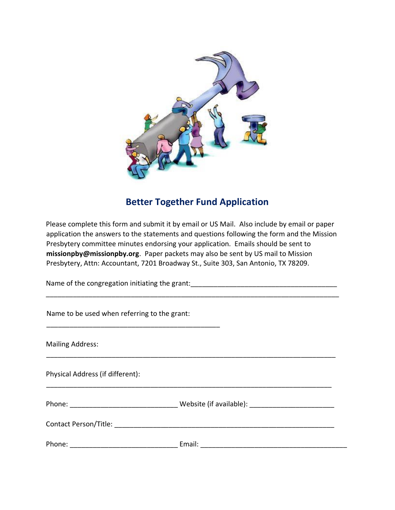

# **Better Together Fund Application**

Please complete this form and submit it by email or US Mail. Also include by email or paper application the answers to the statements and questions following the form and the Mission Presbytery committee minutes endorsing your application. Emails should be sent to **missionpby@missionpby.org**. Paper packets may also be sent by US mail to Mission Presbytery, Attn: Accountant, 7201 Broadway St., Suite 303, San Antonio, TX 78209.

\_\_\_\_\_\_\_\_\_\_\_\_\_\_\_\_\_\_\_\_\_\_\_\_\_\_\_\_\_\_\_\_\_\_\_\_\_\_\_\_\_\_\_\_\_\_\_\_\_\_\_\_\_\_\_\_\_\_\_\_\_\_\_\_\_\_\_\_\_\_\_\_\_\_\_\_

Name of the congregation initiating the grant:

| Name to be used when referring to the grant: |  |
|----------------------------------------------|--|
| <b>Mailing Address:</b>                      |  |
| Physical Address (if different):             |  |
|                                              |  |
|                                              |  |
|                                              |  |